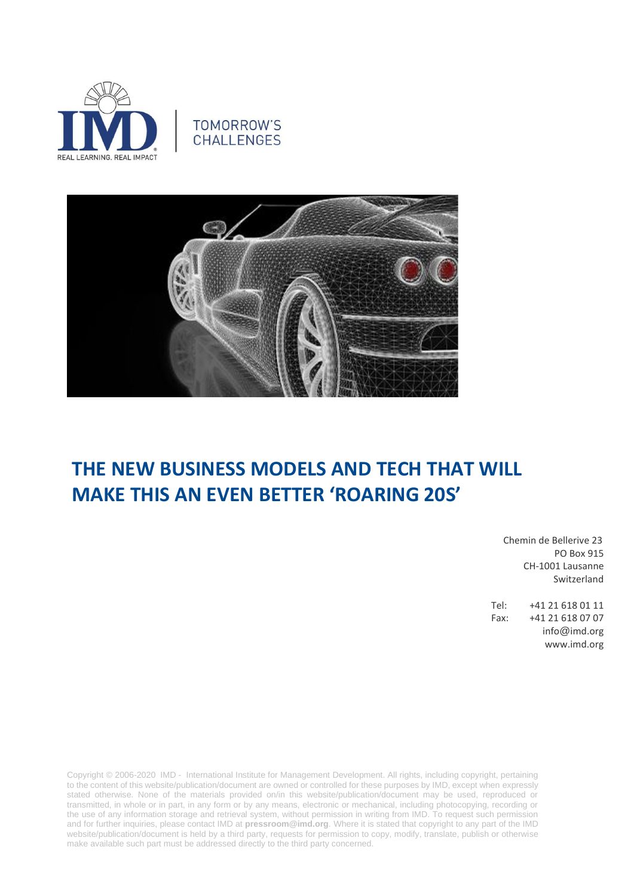





# **THE NEW BUSINESS MODELS AND TECH THAT WILL MAKE THIS AN EVEN BETTER 'ROARING 20S'**

 Chemin de Bellerive 23 PO Box 915 CH-1001 Lausanne Switzerland

Tel: +41 21 618 01 11 Fax: +41 21 618 07 07 info@imd.org www.imd.org

Copyright © 2006-2020 IMD - International Institute for Management Development. All rights, including copyright, pertaining to the content of this website/publication/document are owned or controlled for these purposes by IMD, except when expressly stated otherwise. None of the materials provided on/in this website/publication/document may be used, reproduced or transmitted, in whole or in part, in any form or by any means, electronic or mechanical, including photocopying, recording or the use of any information storage and retrieval system, without permission in writing from IMD. To request such permission and for further inquiries, please contact IMD at **[pressroom@imd.org](mailto:pressroom@imd.org)**. Where it is stated that copyright to any part of the IMD website/publication/document is held by a third party, requests for permission to copy, modify, translate, publish or otherwise make available such part must be addressed directly to the third party concerned.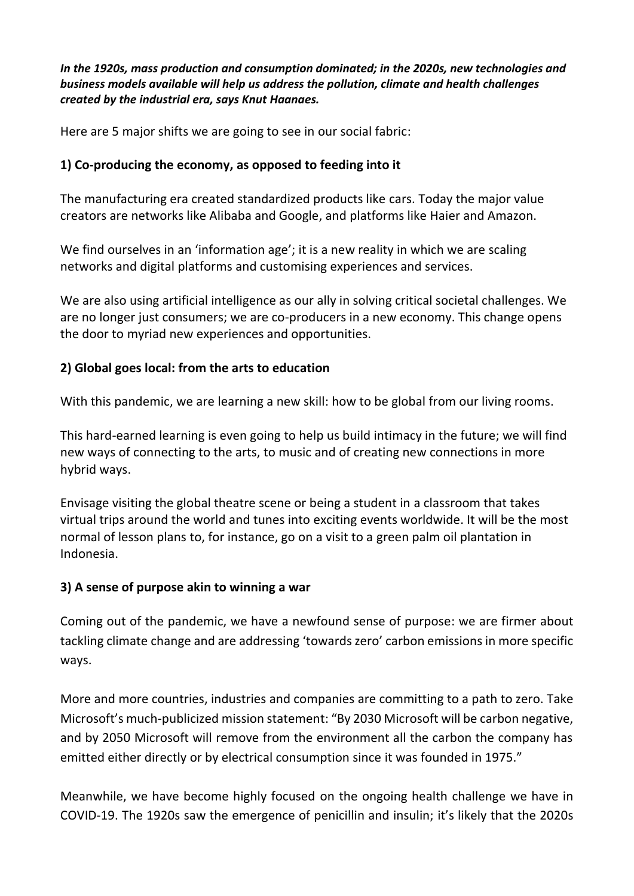*In the 1920s, mass production and consumption dominated; in the 2020s, new technologies and business models available will help us address the pollution, climate and health challenges created by the industrial era, says Knut Haanaes.*

Here are 5 major shifts we are going to see in our social fabric:

## **1) Co-producing the economy, as opposed to feeding into it**

The manufacturing era created standardized products like cars. Today the major value creators are networks like Alibaba and Google, and platforms like Haier and Amazon.

We find ourselves in an 'information age'; it is a new reality in which we are scaling networks and digital platforms and customising experiences and services.

We are also using artificial intelligence as our ally in solving critical societal challenges. We are no longer just consumers; we are co-producers in a new economy. This change opens the door to myriad new experiences and opportunities.

## **2) Global goes local: from the arts to education**

With this pandemic, we are learning a new skill: how to be global from our living rooms.

This hard-earned learning is even going to help us build intimacy in the future; we will find new ways of connecting to the arts, to music and of creating new connections in more hybrid ways.

Envisage visiting the global theatre scene or being a student in a classroom that takes virtual trips around the world and tunes into exciting events worldwide. It will be the most normal of lesson plans to, for instance, go on a visit to a green palm oil plantation in Indonesia.

#### **3) A sense of purpose akin to winning a war**

Coming out of the pandemic, we have a newfound sense of purpose: we are firmer about tackling climate change and are addressing 'towards zero' carbon emissions in more specific ways.

More and more countries, industries and companies are committing to a path to zero. Take Microsoft's much-publicized mission statement: "By 2030 Microsoft will be carbon negative, and by 2050 Microsoft will remove from the environment all the carbon the company has emitted either directly or by electrical consumption since it was founded in 1975."

Meanwhile, we have become highly focused on the ongoing health challenge we have in COVID-19. The 1920s saw the emergence of penicillin and insulin; it's likely that the 2020s